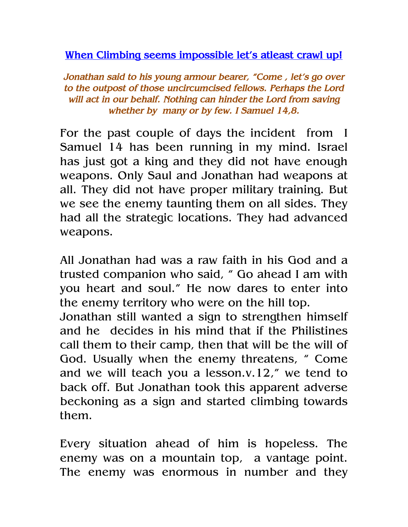When Climbing seems impossible let's atleast crawl up!

Jonathan said to his young armour bearer, "Come , let's go over to the outpost of those uncircumcised fellows. Perhaps the Lord will act in our behalf. Nothing can hinder the Lord from saving whether by many or by few. I Samuel 14,8.

For the past couple of days the incident from I Samuel 14 has been running in my mind. Israel has just got a king and they did not have enough weapons. Only Saul and Jonathan had weapons at all. They did not have proper military training. But we see the enemy taunting them on all sides. They had all the strategic locations. They had advanced weapons.

All Jonathan had was a raw faith in his God and a trusted companion who said, " Go ahead I am with you heart and soul." He now dares to enter into the enemy territory who were on the hill top.

Jonathan still wanted a sign to strengthen himself and he decides in his mind that if the Philistines call them to their camp, then that will be the will of God. Usually when the enemy threatens, " Come and we will teach you a lesson.v.12," we tend to back off. But Jonathan took this apparent adverse beckoning as a sign and started climbing towards them.

Every situation ahead of him is hopeless. The enemy was on a mountain top, a vantage point. The enemy was enormous in number and they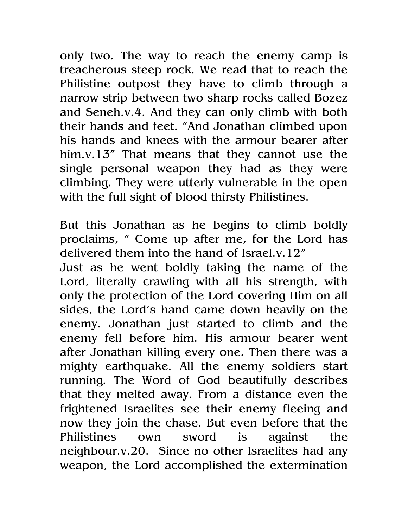only two. The way to reach the enemy camp is treacherous steep rock. We read that to reach the Philistine outpost they have to climb through a narrow strip between two sharp rocks called Bozez and Seneh.v.4. And they can only climb with both their hands and feet. "And Jonathan climbed upon his hands and knees with the armour bearer after him.v.13" That means that they cannot use the single personal weapon they had as they were climbing. They were utterly vulnerable in the open with the full sight of blood thirsty Philistines.

But this Jonathan as he begins to climb boldly proclaims, " Come up after me, for the Lord has delivered them into the hand of Israel.v.12" Just as he went boldly taking the name of the Lord, literally crawling with all his strength, with only the protection of the Lord covering Him on all sides, the Lord's hand came down heavily on the enemy. Jonathan just started to climb and the enemy fell before him. His armour bearer went after Jonathan killing every one. Then there was a mighty earthquake. All the enemy soldiers start running. The Word of God beautifully describes that they melted away. From a distance even the frightened Israelites see their enemy fleeing and now they join the chase. But even before that the Philistines own sword is against the neighbour.v.20. Since no other Israelites had any weapon, the Lord accomplished the extermination